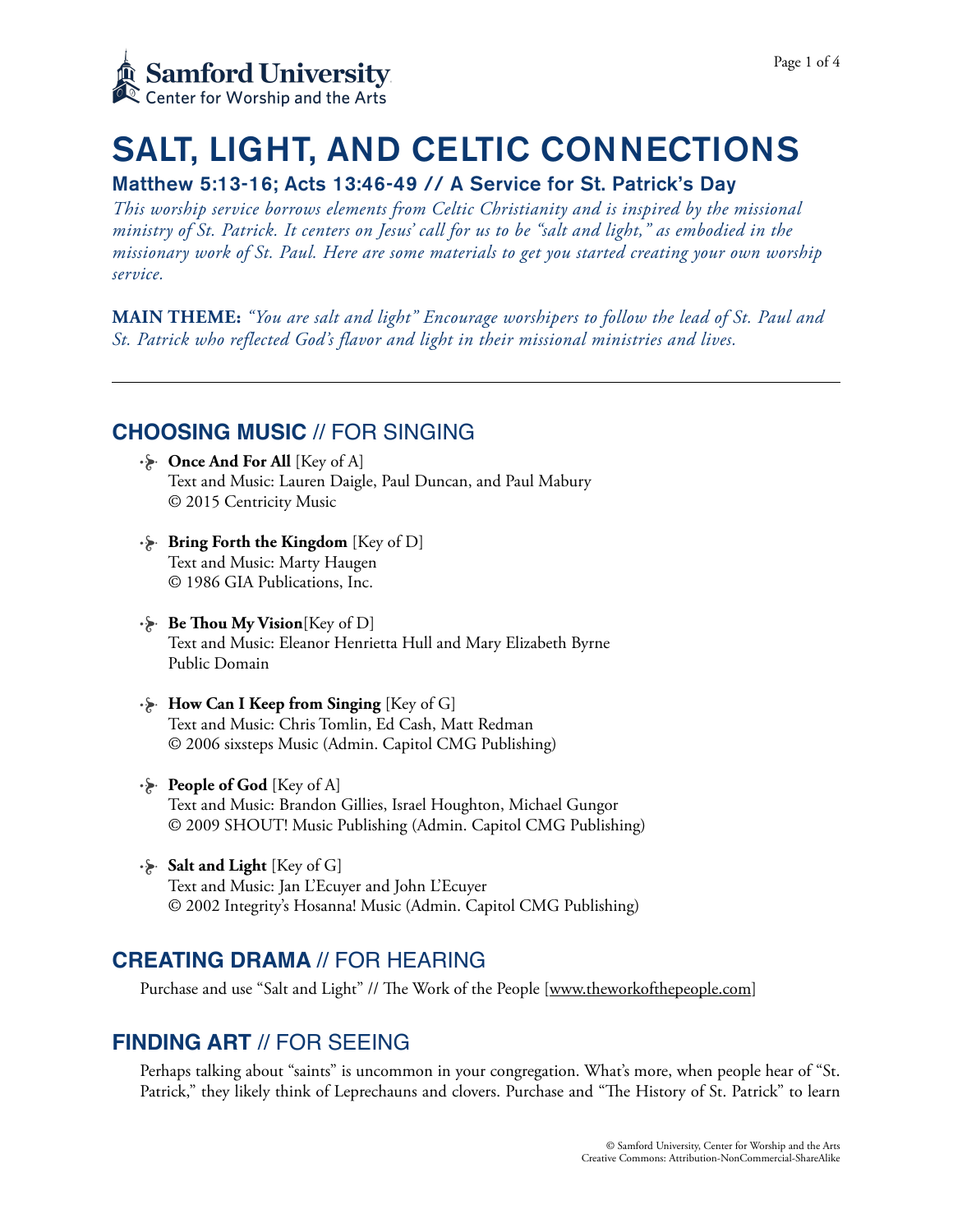

# SALT, LIGHT, AND CELTIC CONNECTIONS

### Matthew 5:13-16; Acts 13:46-49 // A Service for St. Patrick's Day

*This worship service borrows elements from Celtic Christianity and is inspired by the missional ministry of St. Patrick. It centers on Jesus' call for us to be "salt and light," as embodied in the missionary work of St. Paul. Here are some materials to get you started creating your own worship service.* 

**MAIN THEME:** *"You are salt and light" Encourage worshipers to follow the lead of St. Paul and St. Patrick who reflected God's flavor and light in their missional ministries and lives.*

### **CHOOSING MUSIC** // FOR SINGING

- **Once And For All** [Key of A] Text and Music: Lauren Daigle, Paul Duncan, and Paul Mabury © 2015 Centricity Music
- **Bring Forth the Kingdom** [Key of D] Text and Music: Marty Haugen © 1986 GIA Publications, Inc.
- **Be Thou My Vision** [Key of D] Text and Music: Eleanor Henrietta Hull and Mary Elizabeth Byrne Public Domain
- **How Can I Keep from Singing** [Key of G] Text and Music: Chris Tomlin, Ed Cash, Matt Redman © 2006 sixsteps Music (Admin. Capitol CMG Publishing)
- **People of God** [Key of A] Text and Music: Brandon Gillies, Israel Houghton, Michael Gungor © 2009 SHOUT! Music Publishing (Admin. Capitol CMG Publishing)
- **Salt and Light** [Key of G] Text and Music: Jan L'Ecuyer and John L'Ecuyer © 2002 Integrity's Hosanna! Music (Admin. Capitol CMG Publishing)

### **CREATING DRAMA** // FOR HEARING

Purchase and use "Salt and Light" // The Work of the People [\[www.theworkofthepeople.com\]](http://www.theworkofthepeople.com)

### **FINDING ART** // FOR SEEING

Perhaps talking about "saints" is uncommon in your congregation. What's more, when people hear of "St. Patrick," they likely think of Leprechauns and clovers. Purchase and "The History of St. Patrick" to learn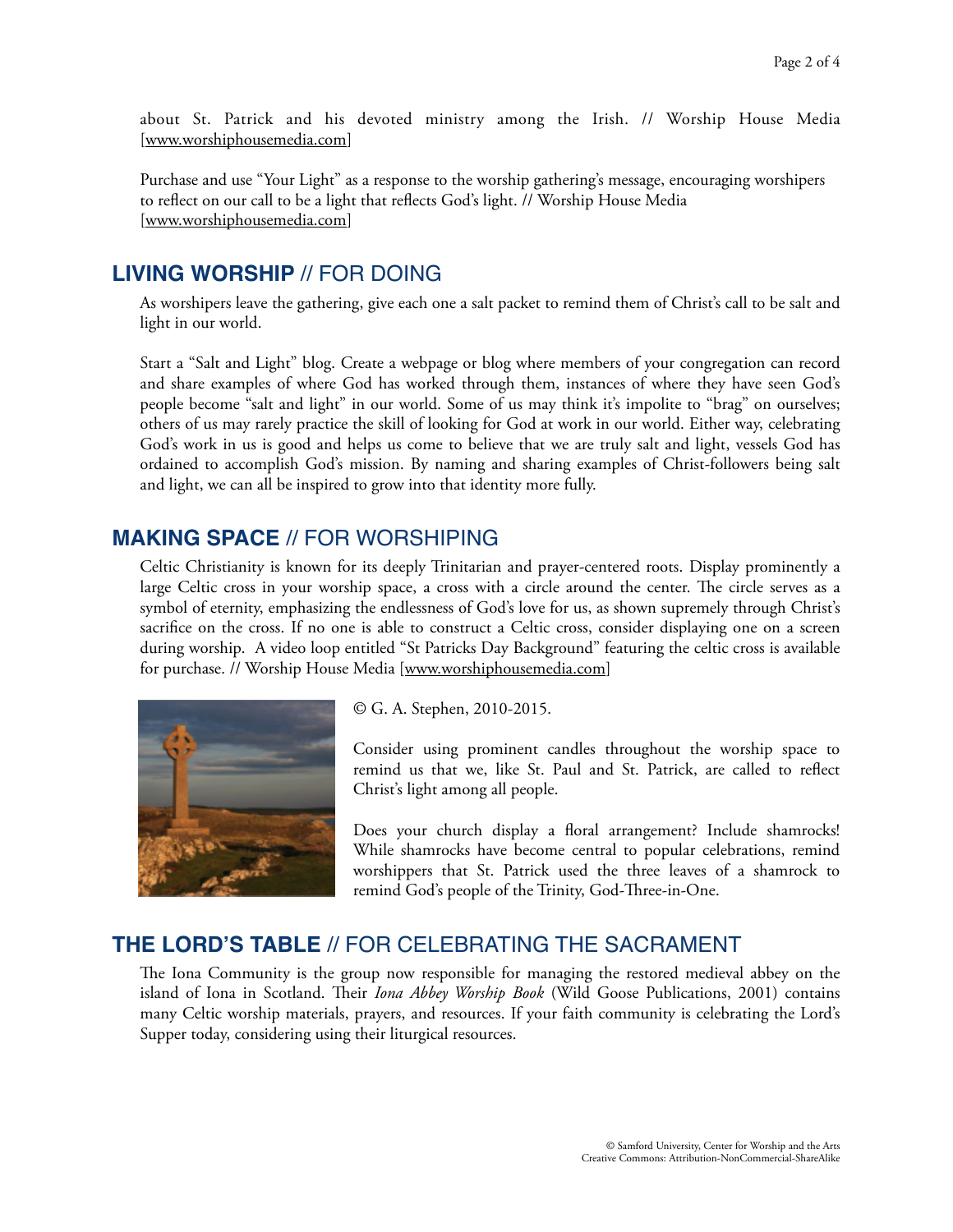about St. Patrick and his devoted ministry among the Irish. // Worship House Media [[www.worshiphousemedia.com\]](http://www.worshiphousemedia.com)

Purchase and use "Your Light" as a response to the worship gathering's message, encouraging worshipers to reflect on our call to be a light that reflects God's light. // Worship House Media [[www.worshiphousemedia.com\]](http://www.worshiphousemedia.com)

### **LIVING WORSHIP** // FOR DOING

As worshipers leave the gathering, give each one a salt packet to remind them of Christ's call to be salt and light in our world.

Start a "Salt and Light" blog. Create a webpage or blog where members of your congregation can record and share examples of where God has worked through them, instances of where they have seen God's people become "salt and light" in our world. Some of us may think it's impolite to "brag" on ourselves; others of us may rarely practice the skill of looking for God at work in our world. Either way, celebrating God's work in us is good and helps us come to believe that we are truly salt and light, vessels God has ordained to accomplish God's mission. By naming and sharing examples of Christ-followers being salt and light, we can all be inspired to grow into that identity more fully.

### **MAKING SPACE** // FOR WORSHIPING

Celtic Christianity is known for its deeply Trinitarian and prayer-centered roots. Display prominently a large Celtic cross in your worship space, a cross with a circle around the center. The circle serves as a symbol of eternity, emphasizing the endlessness of God's love for us, as shown supremely through Christ's sacrifice on the cross. If no one is able to construct a Celtic cross, consider displaying one on a screen during worship. A video loop entitled "St Patricks Day Background" featuring the celtic cross is available for purchase. // Worship House Media [\[www.worshiphousemedia.com](http://www.worshiphousemedia.com)]



© G. A. Stephen, 2010-2015.

Consider using prominent candles throughout the worship space to remind us that we, like St. Paul and St. Patrick, are called to reflect Christ's light among all people.

Does your church display a floral arrangement? Include shamrocks! While shamrocks have become central to popular celebrations, remind worshippers that St. Patrick used the three leaves of a shamrock to remind God's people of the Trinity, God-Three-in-One.

### **THE LORD'S TABLE** // FOR CELEBRATING THE SACRAMENT

The Iona Community is the group now responsible for managing the restored medieval abbey on the island of Iona in Scotland. Their *Iona Abbey Worship Book* (Wild Goose Publications, 2001) contains many Celtic worship materials, prayers, and resources. If your faith community is celebrating the Lord's Supper today, considering using their liturgical resources.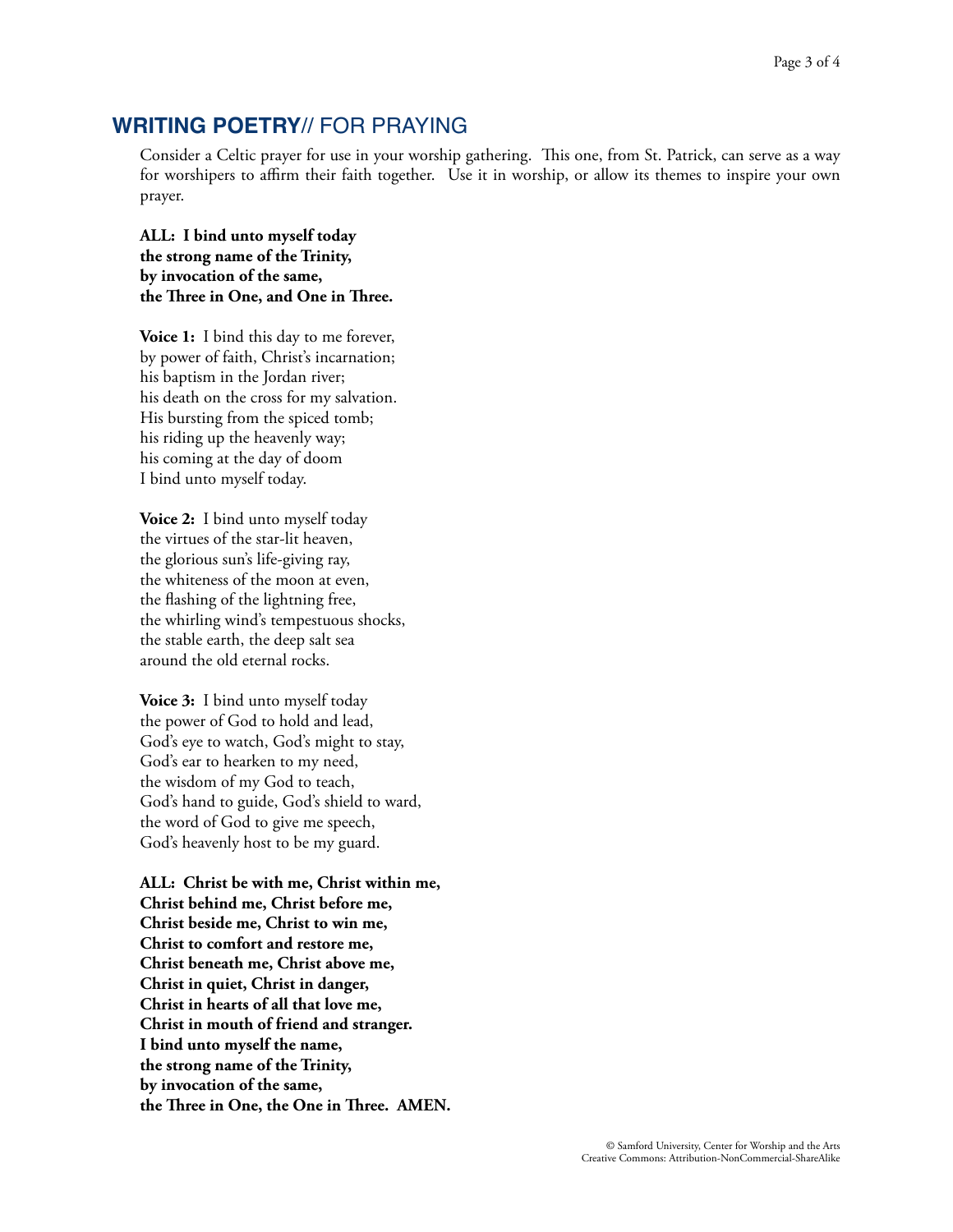### **WRITING POETRY**// FOR PRAYING

Consider a Celtic prayer for use in your worship gathering. This one, from St. Patrick, can serve as a way for worshipers to affirm their faith together. Use it in worship, or allow its themes to inspire your own prayer.

**ALL: I bind unto myself today the strong name of the Trinity, by invocation of the same, the Tree in One, and One in Tree.**

**Voice 1:** I bind this day to me forever, by power of faith, Christ's incarnation; his baptism in the Jordan river; his death on the cross for my salvation. His bursting from the spiced tomb; his riding up the heavenly way; his coming at the day of doom I bind unto myself today.

**Voice 2:** I bind unto myself today the virtues of the star-lit heaven, the glorious sun's life-giving ray, the whiteness of the moon at even, the flashing of the lightning free, the whirling wind's tempestuous shocks, the stable earth, the deep salt sea around the old eternal rocks.

**Voice 3:** I bind unto myself today the power of God to hold and lead, God's eye to watch, God's might to stay, God's ear to hearken to my need, the wisdom of my God to teach, God's hand to guide, God's shield to ward, the word of God to give me speech, God's heavenly host to be my guard.

**ALL: Christ be with me, Christ within me, Christ behind me, Christ before me, Christ beside me, Christ to win me, Christ to comfort and restore me, Christ beneath me, Christ above me, Christ in quiet, Christ in danger, Christ in hearts of all that love me, Christ in mouth of friend and stranger. I bind unto myself the name, the strong name of the Trinity, by invocation of the same, the Tree in One, the One in Tree. AMEN.**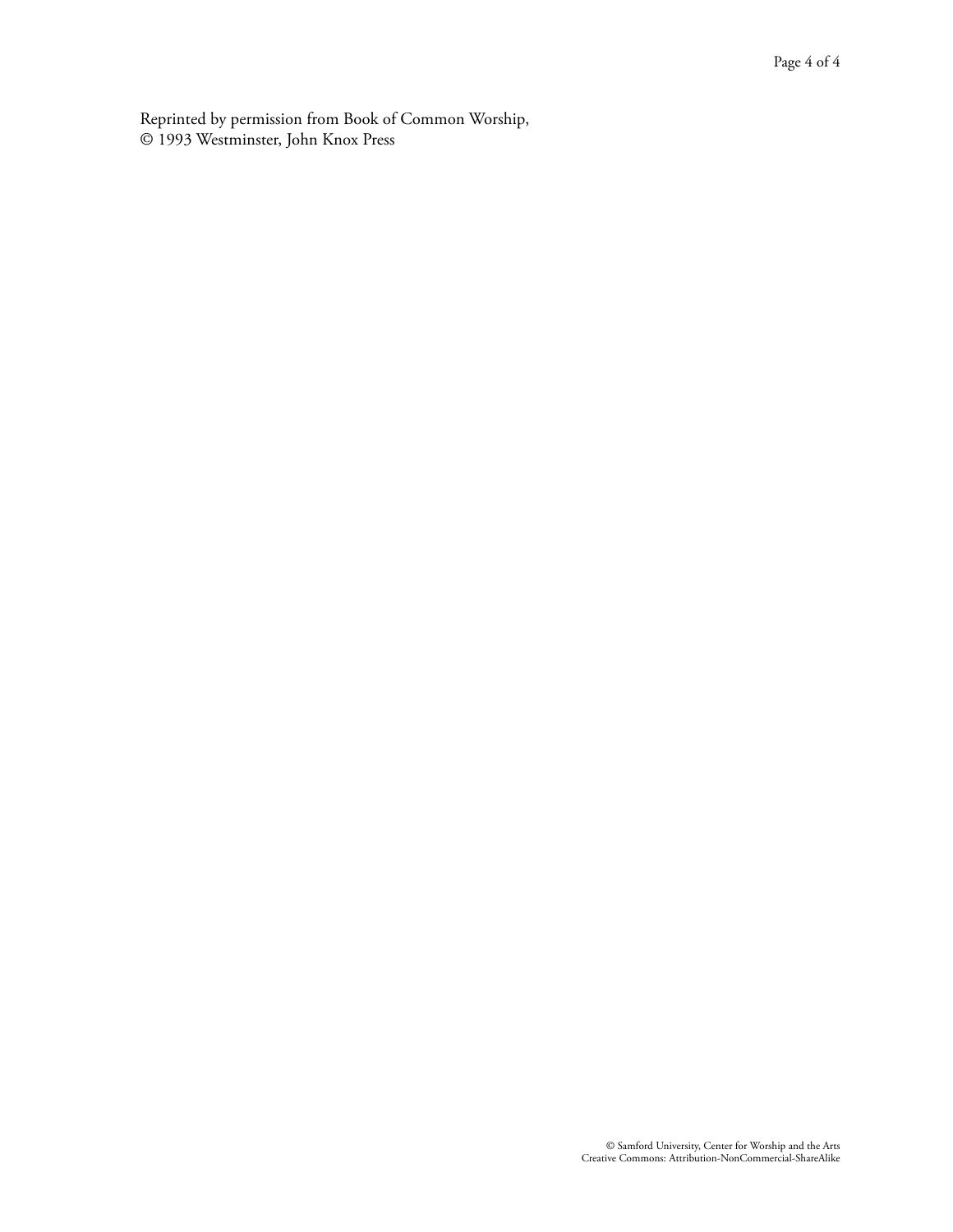Reprinted by permission from Book of Common Worship, © 1993 Westminster, John Knox Press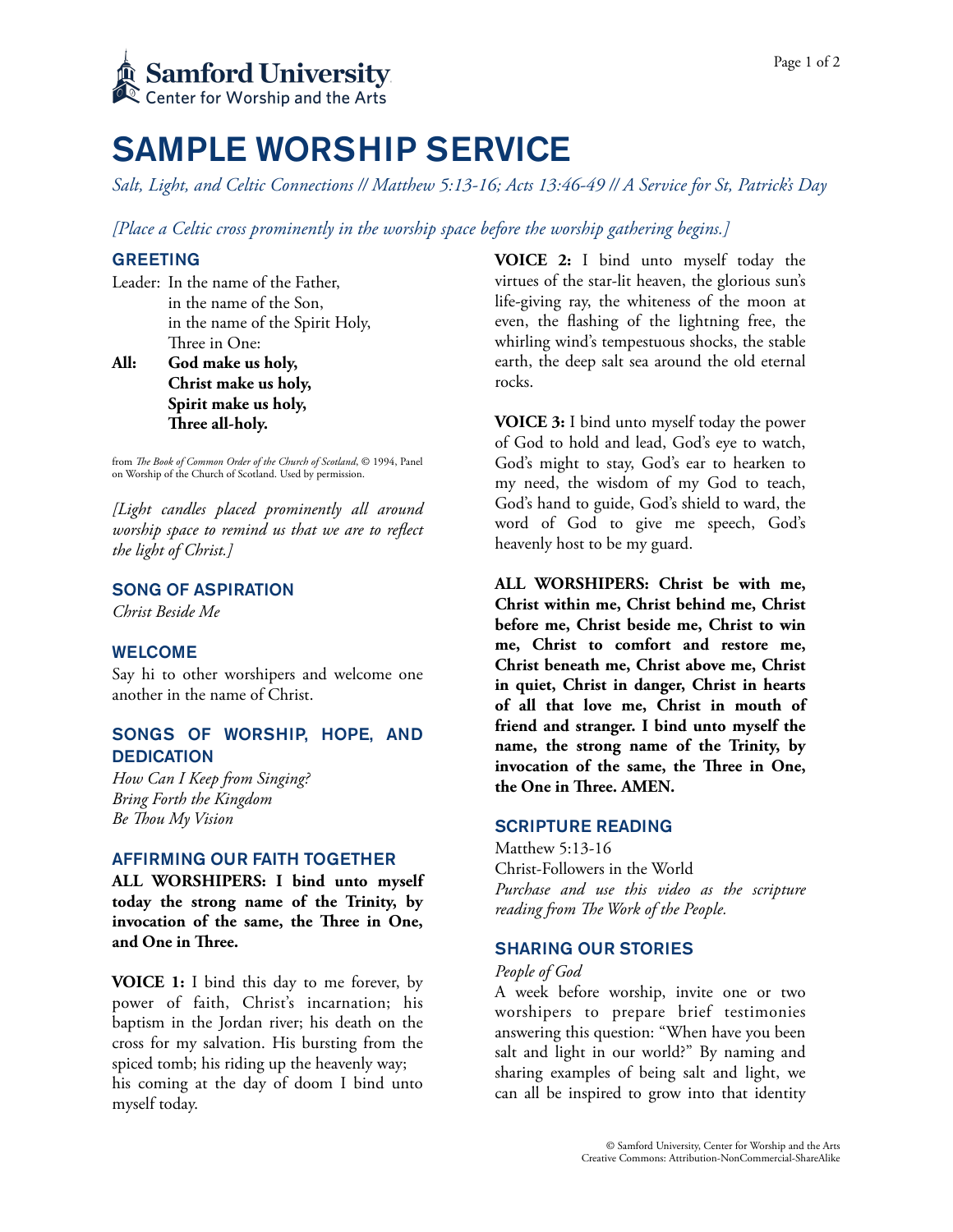

## SAMPLE WORSHIP SERVICE

*Salt, Light, and Celtic Connections // Matthew 5:13-16; Acts 13:46-49 // A Service for St, Patrick's Day* 

*[Place a Celtic cross prominently in the worship space before the worship gathering begins.]*

#### GREETING

Leader: In the name of the Father, in the name of the Son, in the name of the Spirit Holy, Three in One:

**All: God make us holy, Christ make us holy, Spirit make us holy, Tree all-holy.** 

from *Te Book of Common Order of the Church of Scotland*, © 1994, Panel on Worship of the Church of Scotland. Used by permission.

*[Light candles placed prominently all around worship space to remind us that we are to reflect the light of Christ.]* 

#### SONG OF ASPIRATION

*Christ Beside Me* 

#### WELCOME

Say hi to other worshipers and welcome one another in the name of Christ.

#### SONGS OF WORSHIP, HOPE, AND **DEDICATION**

*How Can I Keep from Singing? Bring Forth the Kingdom Be Tou My Vision* 

#### AFFIRMING OUR FAITH TOGETHER

**ALL WORSHIPERS: I bind unto myself today the strong name of the Trinity, by invocation of the same, the Tree in One, and One in Tree.** 

**VOICE 1:** I bind this day to me forever, by power of faith, Christ's incarnation; his baptism in the Jordan river; his death on the cross for my salvation. His bursting from the spiced tomb; his riding up the heavenly way; his coming at the day of doom I bind unto myself today.

**VOICE 2:** I bind unto myself today the virtues of the star-lit heaven, the glorious sun's life-giving ray, the whiteness of the moon at even, the flashing of the lightning free, the whirling wind's tempestuous shocks, the stable earth, the deep salt sea around the old eternal rocks.

**VOICE 3:** I bind unto myself today the power of God to hold and lead, God's eye to watch, God's might to stay, God's ear to hearken to my need, the wisdom of my God to teach, God's hand to guide, God's shield to ward, the word of God to give me speech, God's heavenly host to be my guard.

**ALL WORSHIPERS: Christ be with me, Christ within me, Christ behind me, Christ before me, Christ beside me, Christ to win me, Christ to comfort and restore me, Christ beneath me, Christ above me, Christ in quiet, Christ in danger, Christ in hearts of all that love me, Christ in mouth of friend and stranger. I bind unto myself the name, the strong name of the Trinity, by invocation of the same, the Tree in One, the One in Tree. AMEN.** 

#### SCRIPTURE READING

Matthew 5:13-16 Christ-Followers in the World *Purchase and use this video as the scripture reading from Te Work of the People.* 

#### SHARING OUR STORIES

#### *People of God*

A week before worship, invite one or two worshipers to prepare brief testimonies answering this question: "When have you been salt and light in our world?" By naming and sharing examples of being salt and light, we can all be inspired to grow into that identity